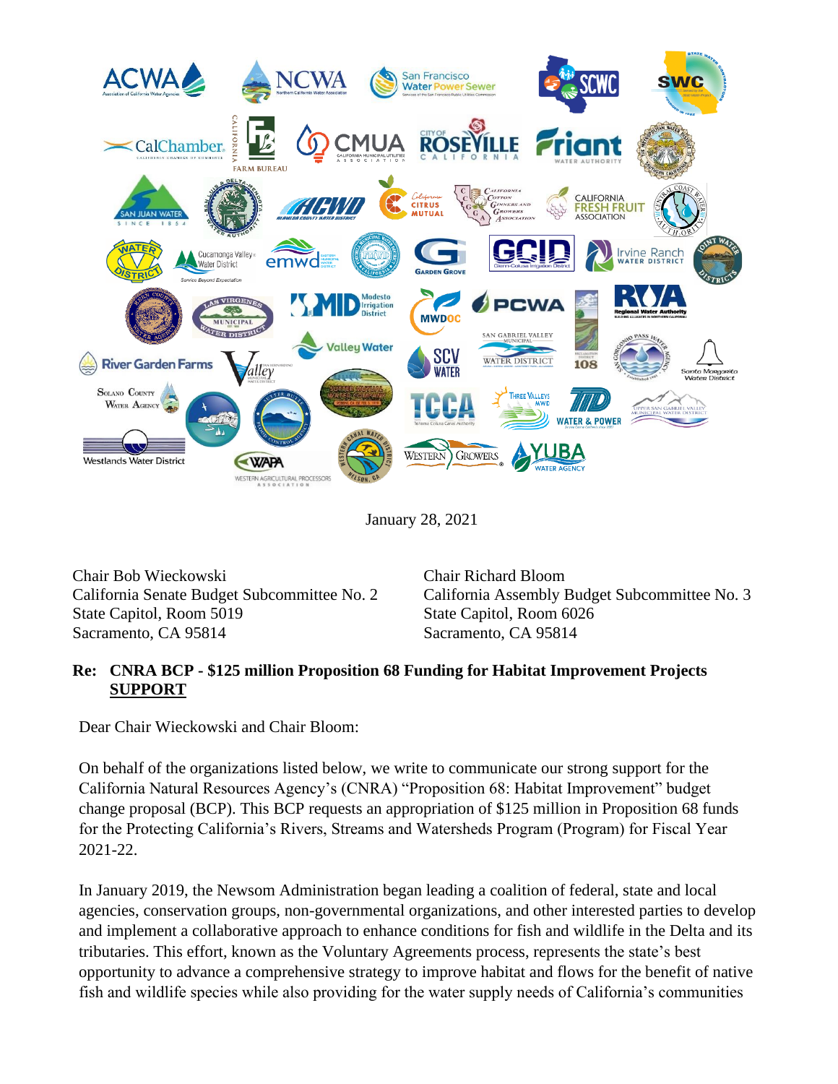

January 28, 2021

Chair Bob Wieckowski Chair Richard Bloom State Capitol, Room 5019 State Capitol, Room 6026 Sacramento, CA 95814 Sacramento, CA 95814

California Senate Budget Subcommittee No. 2 California Assembly Budget Subcommittee No. 3

## **Re: CNRA BCP - \$125 million Proposition 68 Funding for Habitat Improvement Projects SUPPORT**

Dear Chair Wieckowski and Chair Bloom:

On behalf of the organizations listed below, we write to communicate our strong support for the California Natural Resources Agency's (CNRA) "Proposition 68: Habitat Improvement" budget change proposal (BCP). This BCP requests an appropriation of \$125 million in Proposition 68 funds for the Protecting California's Rivers, Streams and Watersheds Program (Program) for Fiscal Year 2021-22.

In January 2019, the Newsom Administration began leading a coalition of federal, state and local agencies, conservation groups, non-governmental organizations, and other interested parties to develop and implement a collaborative approach to enhance conditions for fish and wildlife in the Delta and its tributaries. This effort, known as the Voluntary Agreements process, represents the state's best opportunity to advance a comprehensive strategy to improve habitat and flows for the benefit of native fish and wildlife species while also providing for the water supply needs of California's communities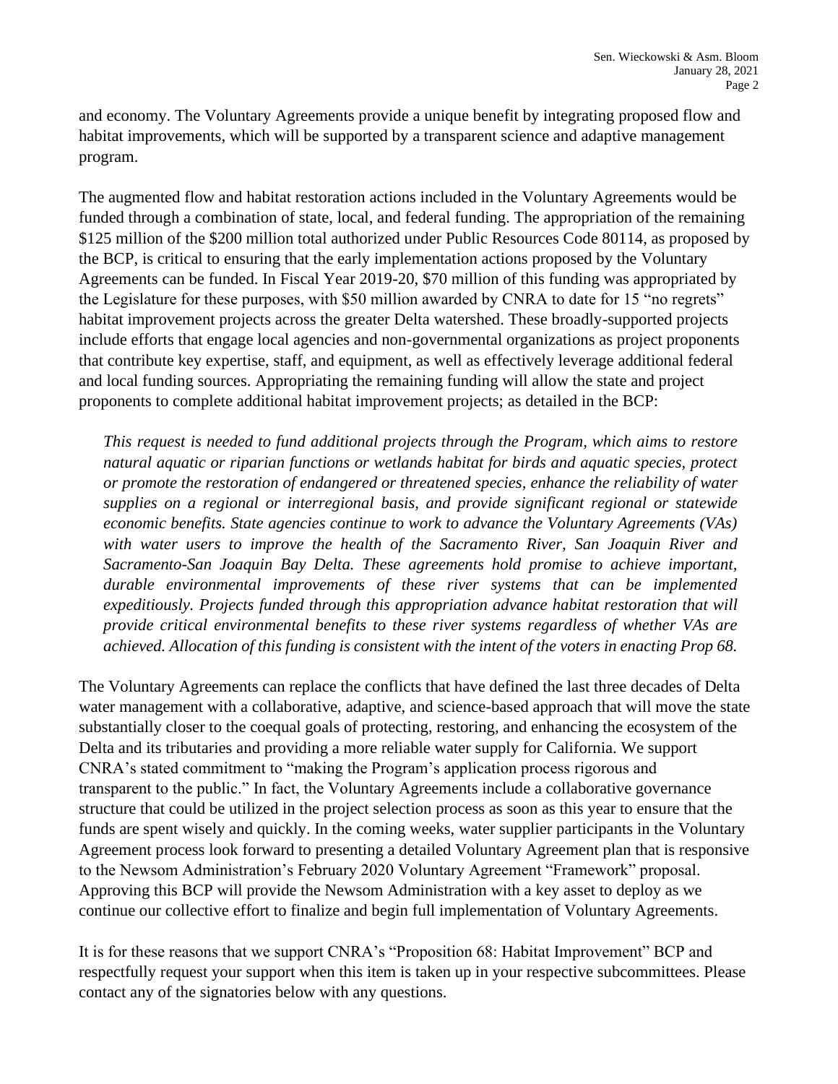and economy. The Voluntary Agreements provide a unique benefit by integrating proposed flow and habitat improvements, which will be supported by a transparent science and adaptive management program.

The augmented flow and habitat restoration actions included in the Voluntary Agreements would be funded through a combination of state, local, and federal funding. The appropriation of the remaining \$125 million of the \$200 million total authorized under Public Resources Code 80114, as proposed by the BCP, is critical to ensuring that the early implementation actions proposed by the Voluntary Agreements can be funded. In Fiscal Year 2019-20, \$70 million of this funding was appropriated by the Legislature for these purposes, with \$50 million awarded by CNRA to date for 15 "no regrets" habitat improvement projects across the greater Delta watershed. These broadly-supported projects include efforts that engage local agencies and non-governmental organizations as project proponents that contribute key expertise, staff, and equipment, as well as effectively leverage additional federal and local funding sources. Appropriating the remaining funding will allow the state and project proponents to complete additional habitat improvement projects; as detailed in the BCP:

*This request is needed to fund additional projects through the Program, which aims to restore natural aquatic or riparian functions or wetlands habitat for birds and aquatic species, protect or promote the restoration of endangered or threatened species, enhance the reliability of water supplies on a regional or interregional basis, and provide significant regional or statewide economic benefits. State agencies continue to work to advance the Voluntary Agreements (VAs) with water users to improve the health of the Sacramento River, San Joaquin River and Sacramento-San Joaquin Bay Delta. These agreements hold promise to achieve important, durable environmental improvements of these river systems that can be implemented expeditiously. Projects funded through this appropriation advance habitat restoration that will provide critical environmental benefits to these river systems regardless of whether VAs are achieved. Allocation of this funding is consistent with the intent of the voters in enacting Prop 68.* 

The Voluntary Agreements can replace the conflicts that have defined the last three decades of Delta water management with a collaborative, adaptive, and science-based approach that will move the state substantially closer to the coequal goals of protecting, restoring, and enhancing the ecosystem of the Delta and its tributaries and providing a more reliable water supply for California. We support CNRA's stated commitment to "making the Program's application process rigorous and transparent to the public." In fact, the Voluntary Agreements include a collaborative governance structure that could be utilized in the project selection process as soon as this year to ensure that the funds are spent wisely and quickly. In the coming weeks, water supplier participants in the Voluntary Agreement process look forward to presenting a detailed Voluntary Agreement plan that is responsive to the Newsom Administration's February 2020 Voluntary Agreement "Framework" proposal. Approving this BCP will provide the Newsom Administration with a key asset to deploy as we continue our collective effort to finalize and begin full implementation of Voluntary Agreements.

It is for these reasons that we support CNRA's "Proposition 68: Habitat Improvement" BCP and respectfully request your support when this item is taken up in your respective subcommittees. Please contact any of the signatories below with any questions.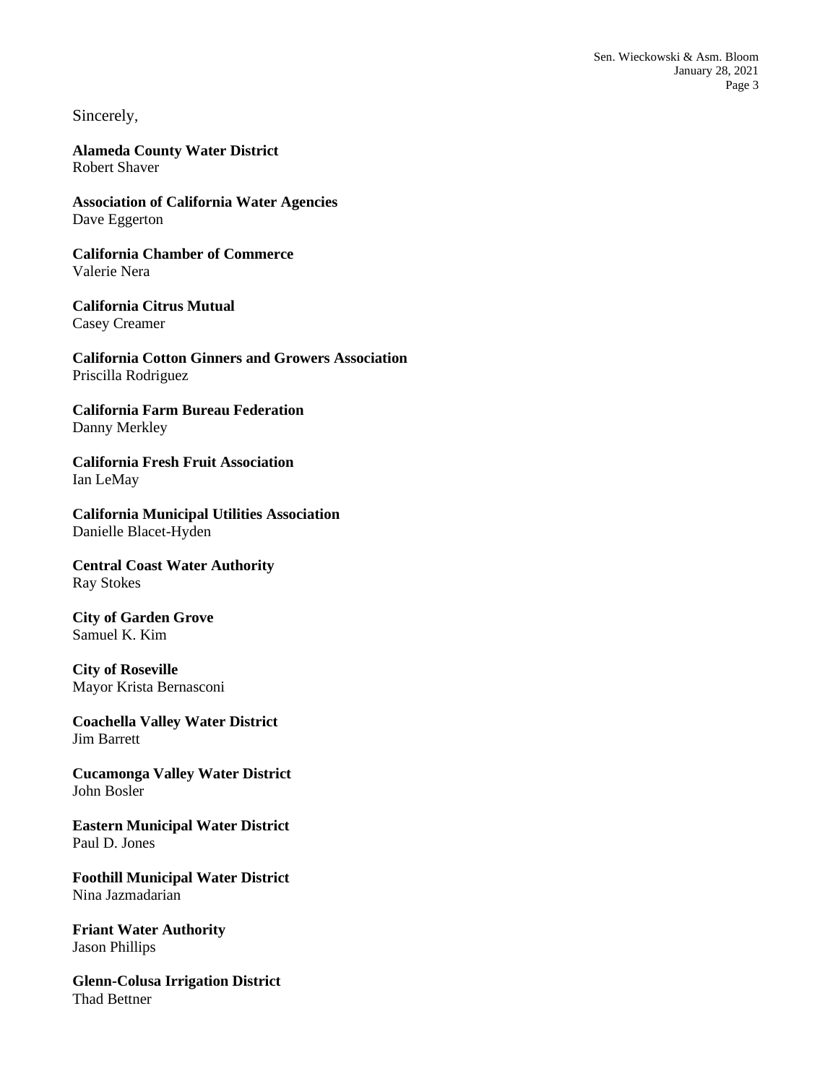Sincerely,

**Alameda County Water District** Robert Shaver

**Association of California Water Agencies** Dave Eggerton

**California Chamber of Commerce** Valerie Nera

**California Citrus Mutual** Casey Creamer

**California Cotton Ginners and Growers Association** Priscilla Rodriguez

**California Farm Bureau Federation** Danny Merkley

**California Fresh Fruit Association** Ian LeMay

**California Municipal Utilities Association** Danielle Blacet-Hyden

**Central Coast Water Authority** Ray Stokes

**City of Garden Grove** Samuel K. Kim

**City of Roseville** Mayor Krista Bernasconi

**Coachella Valley Water District** Jim Barrett

**Cucamonga Valley Water District** John Bosler

**Eastern Municipal Water District** Paul D. Jones

**Foothill Municipal Water District** Nina Jazmadarian

**Friant Water Authority** Jason Phillips

**Glenn-Colusa Irrigation District** Thad Bettner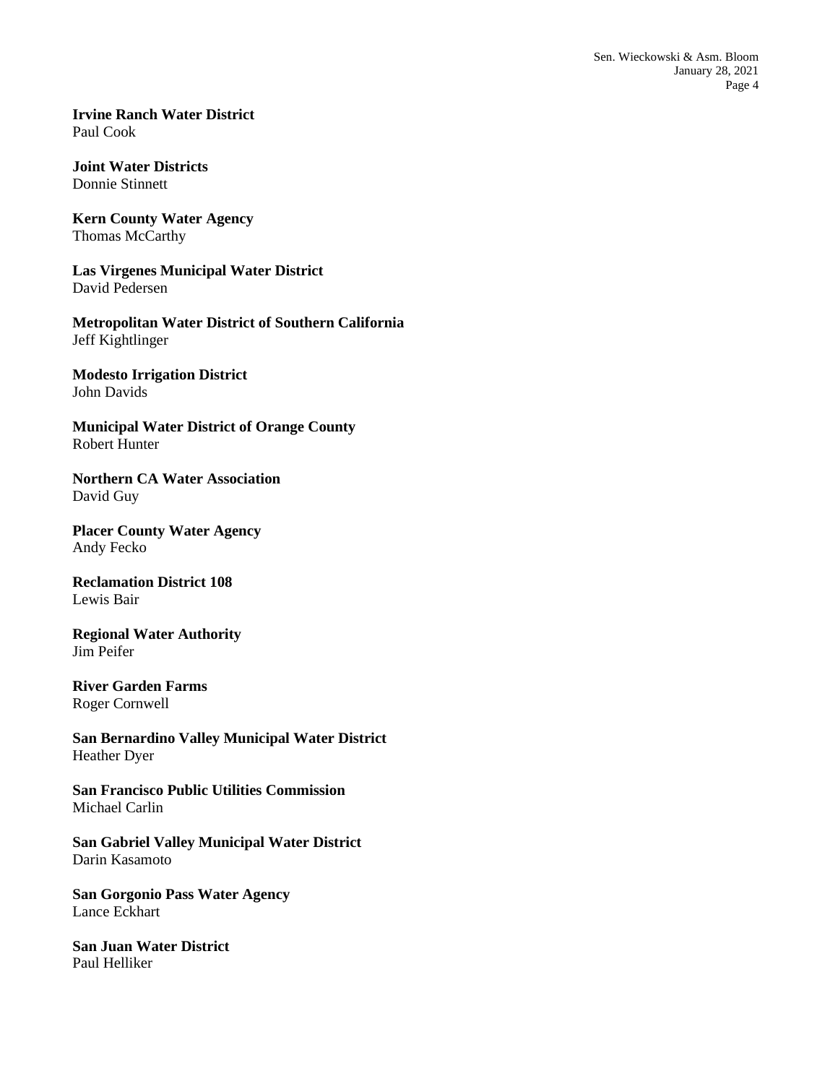**Irvine Ranch Water District** Paul Cook

**Joint Water Districts** Donnie Stinnett

**Kern County Water Agency** Thomas McCarthy

**Las Virgenes Municipal Water District** David Pedersen

**Metropolitan Water District of Southern California** Jeff Kightlinger

**Modesto Irrigation District** John Davids

**Municipal Water District of Orange County** Robert Hunter

**Northern CA Water Association** David Guy

**Placer County Water Agency** Andy Fecko

**Reclamation District 108** Lewis Bair

**Regional Water Authority** Jim Peifer

**River Garden Farms** Roger Cornwell

**San Bernardino Valley Municipal Water District** Heather Dyer

**San Francisco Public Utilities Commission** Michael Carlin

**San Gabriel Valley Municipal Water District** Darin Kasamoto

**San Gorgonio Pass Water Agency** Lance Eckhart

**San Juan Water District** Paul Helliker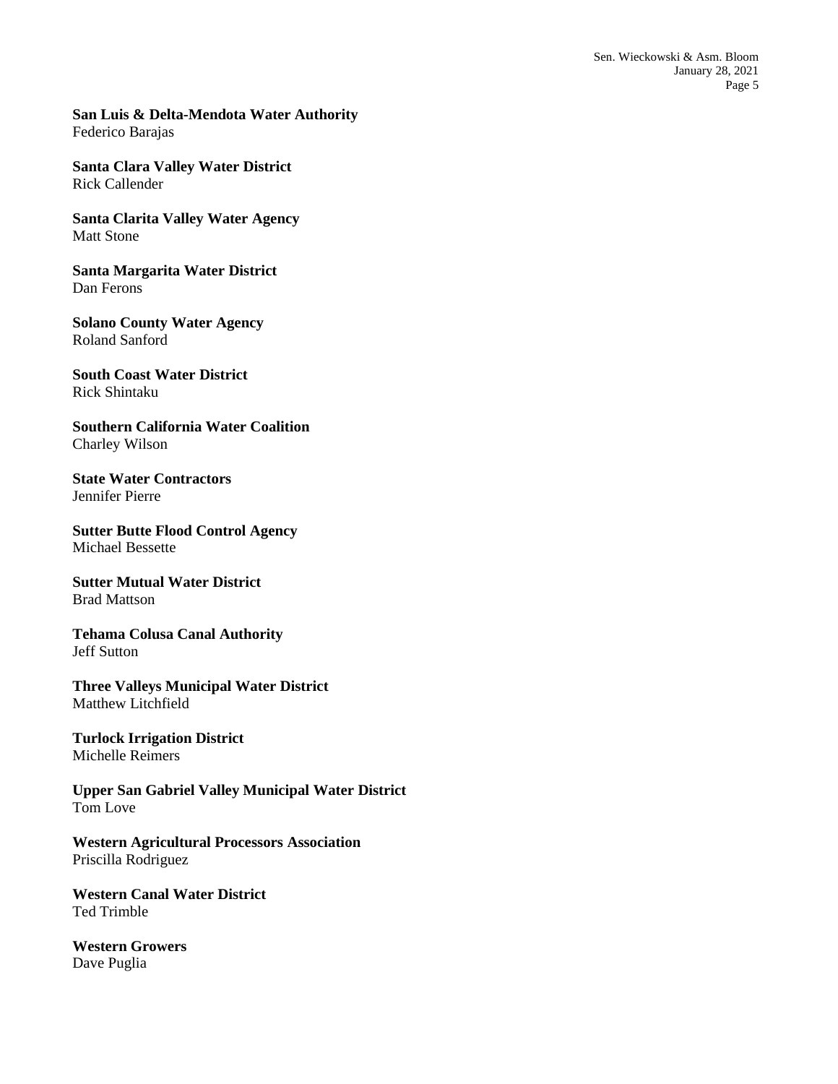**San Luis & Delta-Mendota Water Authority** Federico Barajas

**Santa Clara Valley Water District** Rick Callender

**Santa Clarita Valley Water Agency** Matt Stone

**Santa Margarita Water District** Dan Ferons

**Solano County Water Agency** Roland Sanford

**South Coast Water District** Rick Shintaku

**Southern California Water Coalition** Charley Wilson

**State Water Contractors** Jennifer Pierre

**Sutter Butte Flood Control Agency** Michael Bessette

**Sutter Mutual Water District** Brad Mattson

**Tehama Colusa Canal Authority** Jeff Sutton

**Three Valleys Municipal Water District** Matthew Litchfield

**Turlock Irrigation District** Michelle Reimers

**Upper San Gabriel Valley Municipal Water District** Tom Love

**Western Agricultural Processors Association** Priscilla Rodriguez

**Western Canal Water District** Ted Trimble

**Western Growers** Dave Puglia